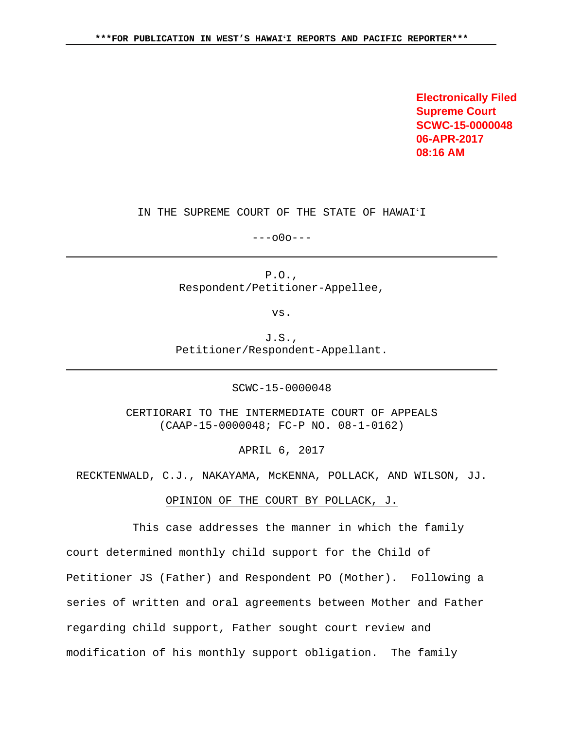**Electronically Filed Supreme Court SCWC-15-0000048 06-APR-2017 08:16 AM**

IN THE SUPREME COURT OF THE STATE OF HAWAIʻI

---o0o---

P.O., Respondent/Petitioner-Appellee,

vs.

J.S., Petitioner/Respondent-Appellant.

SCWC-15-0000048

CERTIORARI TO THE INTERMEDIATE COURT OF APPEALS (CAAP-15-0000048; FC-P NO. 08-1-0162)

APRIL 6, 2017

RECKTENWALD, C.J., NAKAYAMA, McKENNA, POLLACK, AND WILSON, JJ.

OPINION OF THE COURT BY POLLACK, J.

 This case addresses the manner in which the family court determined monthly child support for the Child of Petitioner JS (Father) and Respondent PO (Mother). Following a series of written and oral agreements between Mother and Father regarding child support, Father sought court review and modification of his monthly support obligation. The family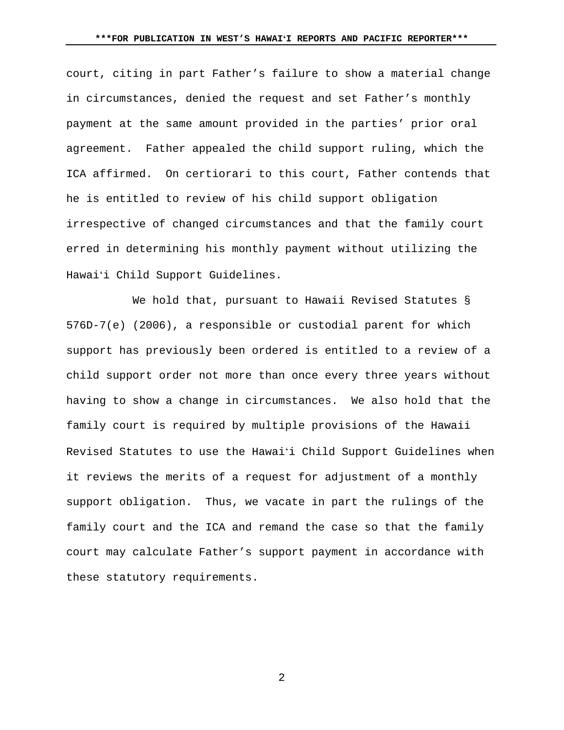court, citing in part Father's failure to show a material change in circumstances, denied the request and set Father's monthly payment at the same amount provided in the parties' prior oral agreement. Father appealed the child support ruling, which the ICA affirmed. On certiorari to this court, Father contends that he is entitled to review of his child support obligation irrespective of changed circumstances and that the family court erred in determining his monthly payment without utilizing the Hawaiʻi Child Support Guidelines.

 We hold that, pursuant to Hawaii Revised Statutes § 576D-7(e) (2006), a responsible or custodial parent for which support has previously been ordered is entitled to a review of a child support order not more than once every three years without having to show a change in circumstances. We also hold that the family court is required by multiple provisions of the Hawaii Revised Statutes to use the Hawaiʻi Child Support Guidelines when it reviews the merits of a request for adjustment of a monthly support obligation. Thus, we vacate in part the rulings of the family court and the ICA and remand the case so that the family court may calculate Father's support payment in accordance with these statutory requirements.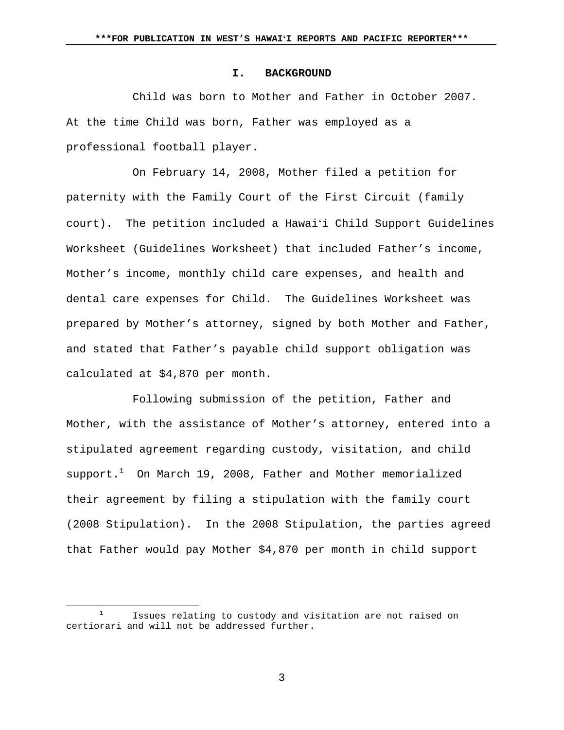#### **I. BACKGROUND**

Child was born to Mother and Father in October 2007. At the time Child was born, Father was employed as a professional football player.

 On February 14, 2008, Mother filed a petition for paternity with the Family Court of the First Circuit (family court). The petition included a Hawaiʻi Child Support Guidelines Worksheet (Guidelines Worksheet) that included Father's income, Mother's income, monthly child care expenses, and health and dental care expenses for Child. The Guidelines Worksheet was prepared by Mother's attorney, signed by both Mother and Father, and stated that Father's payable child support obligation was calculated at \$4,870 per month.

 Following submission of the petition, Father and Mother, with the assistance of Mother's attorney, entered into a stipulated agreement regarding custody, visitation, and child  $support.^1$  On March 19, 2008, Father and Mother memorialized their agreement by filing a stipulation with the family court (2008 Stipulation). In the 2008 Stipulation, the parties agreed that Father would pay Mother \$4,870 per month in child support

<sup>&</sup>lt;u>1</u> Issues relating to custody and visitation are not raised on certiorari and will not be addressed further.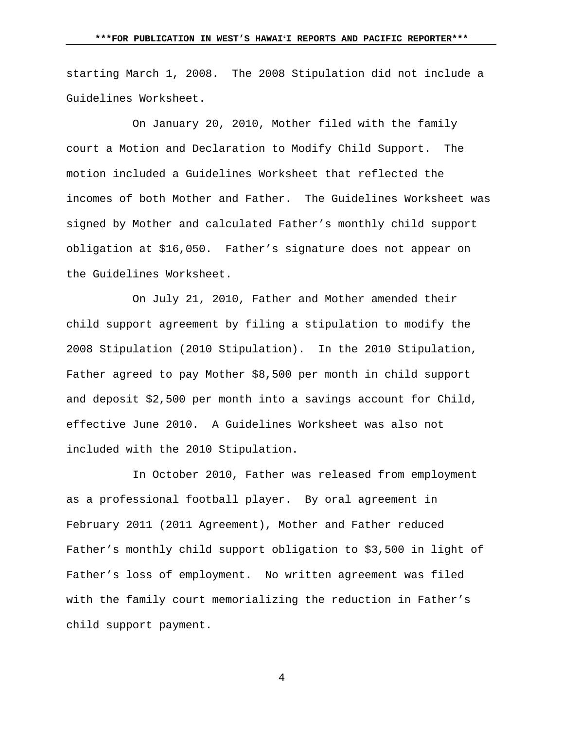starting March 1, 2008. The 2008 Stipulation did not include a Guidelines Worksheet.

 On January 20, 2010, Mother filed with the family court a Motion and Declaration to Modify Child Support. The motion included a Guidelines Worksheet that reflected the incomes of both Mother and Father. The Guidelines Worksheet was signed by Mother and calculated Father's monthly child support obligation at \$16,050. Father's signature does not appear on the Guidelines Worksheet.

On July 21, 2010, Father and Mother amended their child support agreement by filing a stipulation to modify the 2008 Stipulation (2010 Stipulation). In the 2010 Stipulation, Father agreed to pay Mother \$8,500 per month in child support and deposit \$2,500 per month into a savings account for Child, effective June 2010. A Guidelines Worksheet was also not included with the 2010 Stipulation.

In October 2010, Father was released from employment as a professional football player. By oral agreement in February 2011 (2011 Agreement), Mother and Father reduced Father's monthly child support obligation to \$3,500 in light of Father's loss of employment. No written agreement was filed with the family court memorializing the reduction in Father's child support payment.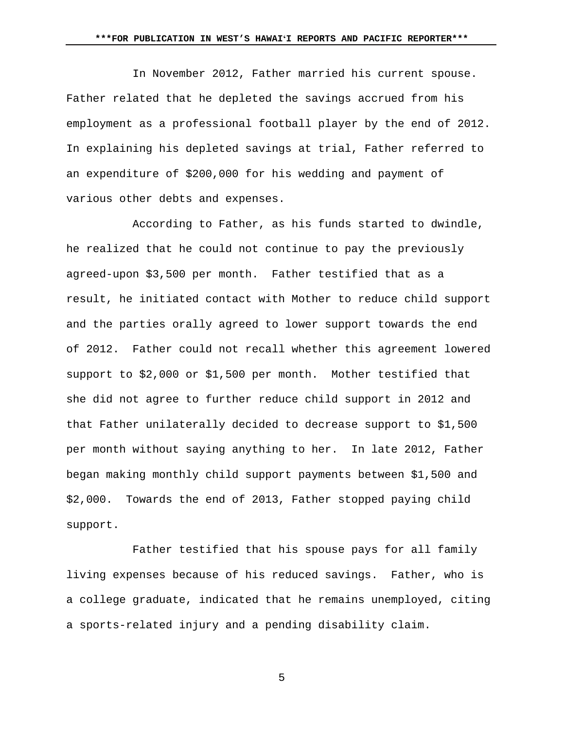In November 2012, Father married his current spouse. Father related that he depleted the savings accrued from his employment as a professional football player by the end of 2012. In explaining his depleted savings at trial, Father referred to an expenditure of \$200,000 for his wedding and payment of various other debts and expenses.

According to Father, as his funds started to dwindle, he realized that he could not continue to pay the previously agreed-upon \$3,500 per month. Father testified that as a result, he initiated contact with Mother to reduce child support and the parties orally agreed to lower support towards the end of 2012. Father could not recall whether this agreement lowered support to \$2,000 or \$1,500 per month. Mother testified that she did not agree to further reduce child support in 2012 and that Father unilaterally decided to decrease support to \$1,500 per month without saying anything to her. In late 2012, Father began making monthly child support payments between \$1,500 and \$2,000. Towards the end of 2013, Father stopped paying child support.

 Father testified that his spouse pays for all family living expenses because of his reduced savings. Father, who is a college graduate, indicated that he remains unemployed, citing a sports-related injury and a pending disability claim.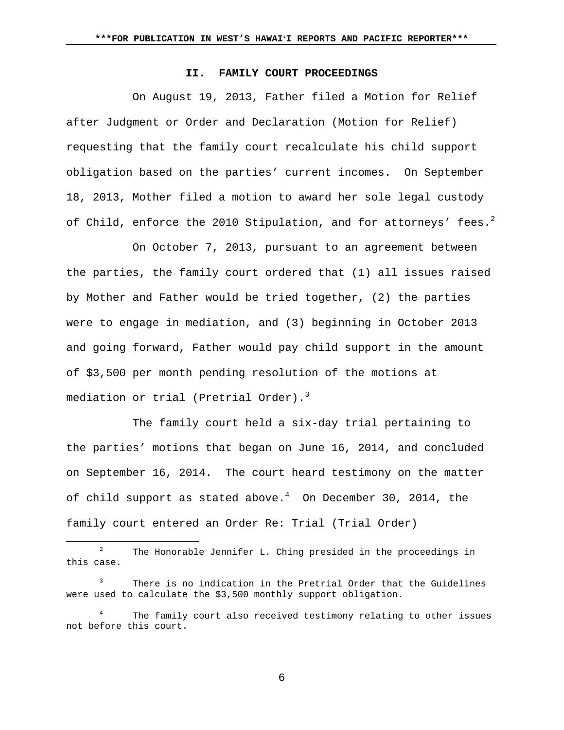### **II. FAMILY COURT PROCEEDINGS**

On August 19, 2013, Father filed a Motion for Relief after Judgment or Order and Declaration (Motion for Relief) requesting that the family court recalculate his child support obligation based on the parties' current incomes. On September 18, 2013, Mother filed a motion to award her sole legal custody of Child, enforce the 2010 Stipulation, and for attorneys' fees.<sup>2</sup>

On October 7, 2013, pursuant to an agreement between the parties, the family court ordered that (1) all issues raised by Mother and Father would be tried together, (2) the parties were to engage in mediation, and (3) beginning in October 2013 and going forward, Father would pay child support in the amount of \$3,500 per month pending resolution of the motions at mediation or trial (Pretrial Order).<sup>3</sup>

The family court held a six-day trial pertaining to the parties' motions that began on June 16, 2014, and concluded on September 16, 2014. The court heard testimony on the matter of child support as stated above. $^4$  On December 30, 2014, the family court entered an Order Re: Trial (Trial Order)

 $\begin{array}{c|c}\n\hline\n\end{array}$  $2^2$  The Honorable Jennifer L. Ching presided in the proceedings in this case.

<sup>3</sup> There is no indication in the Pretrial Order that the Guidelines were used to calculate the \$3,500 monthly support obligation.

<sup>4</sup> The family court also received testimony relating to other issues not before this court.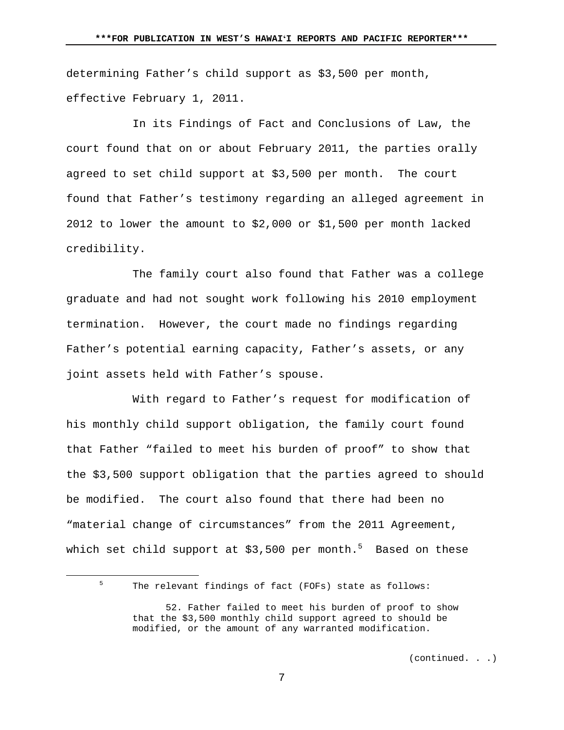determining Father's child support as \$3,500 per month, effective February 1, 2011.

 In its Findings of Fact and Conclusions of Law, the court found that on or about February 2011, the parties orally agreed to set child support at \$3,500 per month. The court found that Father's testimony regarding an alleged agreement in 2012 to lower the amount to \$2,000 or \$1,500 per month lacked credibility.

 The family court also found that Father was a college graduate and had not sought work following his 2010 employment termination. However, the court made no findings regarding Father's potential earning capacity, Father's assets, or any joint assets held with Father's spouse.

 With regard to Father's request for modification of his monthly child support obligation, the family court found that Father "failed to meet his burden of proof" to show that the \$3,500 support obligation that the parties agreed to should be modified. The court also found that there had been no "material change of circumstances" from the 2011 Agreement, which set child support at \$3,500 per month. $^5$  Based on these

(continued. . .)

 $\frac{1}{5}$ 

 $5$  The relevant findings of fact (FOFs) state as follows:

 <sup>52.</sup> Father failed to meet his burden of proof to show that the \$3,500 monthly child support agreed to should be modified, or the amount of any warranted modification.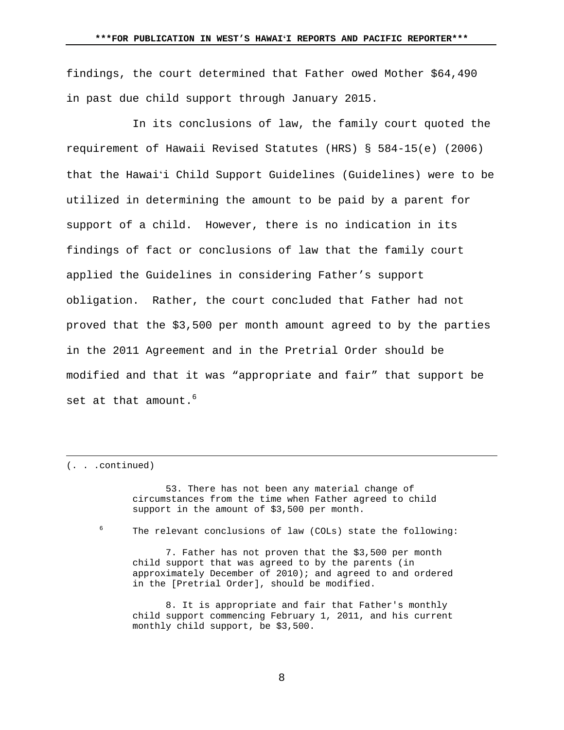findings, the court determined that Father owed Mother \$64,490 in past due child support through January 2015.

 In its conclusions of law, the family court quoted the requirement of Hawaii Revised Statutes (HRS) § 584-15(e) (2006) that the Hawaiʻi Child Support Guidelines (Guidelines) were to be utilized in determining the amount to be paid by a parent for support of a child. However, there is no indication in its findings of fact or conclusions of law that the family court applied the Guidelines in considering Father's support obligation. Rather, the court concluded that Father had not proved that the \$3,500 per month amount agreed to by the parties in the 2011 Agreement and in the Pretrial Order should be modified and that it was "appropriate and fair" that support be set at that amount.  $6$ 

(. . .continued)

i

 53. There has not been any material change of circumstances from the time when Father agreed to child support in the amount of \$3,500 per month.

6

The relevant conclusions of law (COLs) state the following:

 7. Father has not proven that the \$3,500 per month child support that was agreed to by the parents (in approximately December of 2010); and agreed to and ordered in the [Pretrial Order], should be modified.

 8. It is appropriate and fair that Father's monthly child support commencing February 1, 2011, and his current monthly child support, be \$3,500.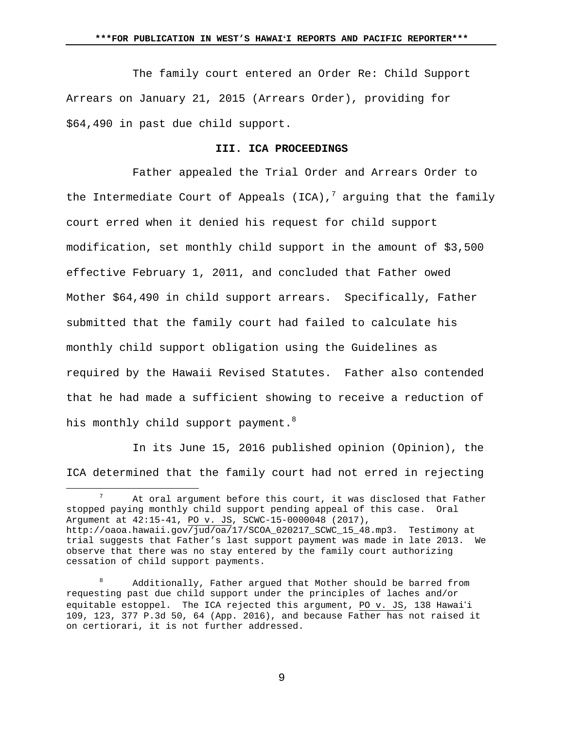The family court entered an Order Re: Child Support Arrears on January 21, 2015 (Arrears Order), providing for \$64,490 in past due child support.

#### **III. ICA PROCEEDINGS**

 Father appealed the Trial Order and Arrears Order to the Intermediate Court of Appeals (ICA), $^7$  arguing that the family court erred when it denied his request for child support modification, set monthly child support in the amount of \$3,500 effective February 1, 2011, and concluded that Father owed Mother \$64,490 in child support arrears. Specifically, Father submitted that the family court had failed to calculate his monthly child support obligation using the Guidelines as required by the Hawaii Revised Statutes. Father also contended that he had made a sufficient showing to receive a reduction of his monthly child support payment.<sup>8</sup>

In its June 15, 2016 published opinion (Opinion), the ICA determined that the family court had not erred in rejecting

<sup>&</sup>lt;u>7</u> At oral argument before this court, it was disclosed that Father stopped paying monthly child support pending appeal of this case. Oral Argument at 42:15-41, PO v. JS, SCWC-15-0000048 (2017), http://oaoa.hawaii.gov/jud/oa/17/SCOA\_020217\_SCWC\_15\_48.mp3. Testimony at trial suggests that Father's last support payment was made in late 2013. We observe that there was no stay entered by the family court authorizing cessation of child support payments.

<sup>8</sup> Additionally, Father argued that Mother should be barred from requesting past due child support under the principles of laches and/or equitable estoppel. The ICA rejected this argument, PO  $v$ . JS, 138 Hawai'i 109, 123, 377 P.3d 50, 64 (App. 2016), and because Father has not raised it on certiorari, it is not further addressed.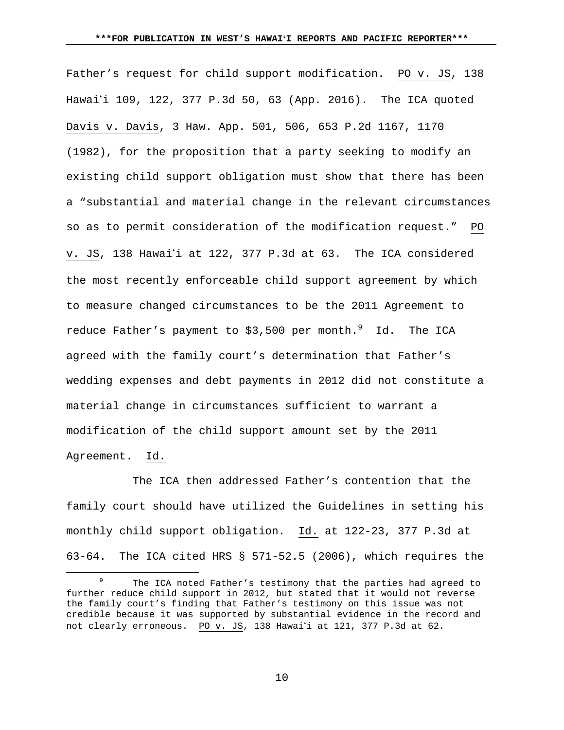Father's request for child support modification. PO v. JS, 138 Hawai'i 109, 122, 377 P.3d 50, 63 (App. 2016). The ICA quoted Davis v. Davis, 3 Haw. App. 501, 506, 653 P.2d 1167, 1170 (1982), for the proposition that a party seeking to modify an existing child support obligation must show that there has been a "substantial and material change in the relevant circumstances so as to permit consideration of the modification request." PO v. JS, 138 Hawai'i at 122, 377 P.3d at 63. The ICA considered the most recently enforceable child support agreement by which to measure changed circumstances to be the 2011 Agreement to reduce Father's payment to \$3,500 per month. $^9$   $\,$   $\,$  Id.  $\,$  The ICA  $\,$ agreed with the family court's determination that Father's wedding expenses and debt payments in 2012 did not constitute a material change in circumstances sufficient to warrant a modification of the child support amount set by the 2011 Agreement. Id.

 The ICA then addressed Father's contention that the family court should have utilized the Guidelines in setting his monthly child support obligation. Id. at 122-23, 377 P.3d at 63-64. The ICA cited HRS § 571-52.5 (2006), which requires the

 <sup>9</sup> <sup>9</sup> The ICA noted Father's testimony that the parties had agreed to further reduce child support in 2012, but stated that it would not reverse the family court's finding that Father's testimony on this issue was not credible because it was supported by substantial evidence in the record and not clearly erroneous. PO v. JS, 138 Hawai'i at 121, 377 P.3d at 62.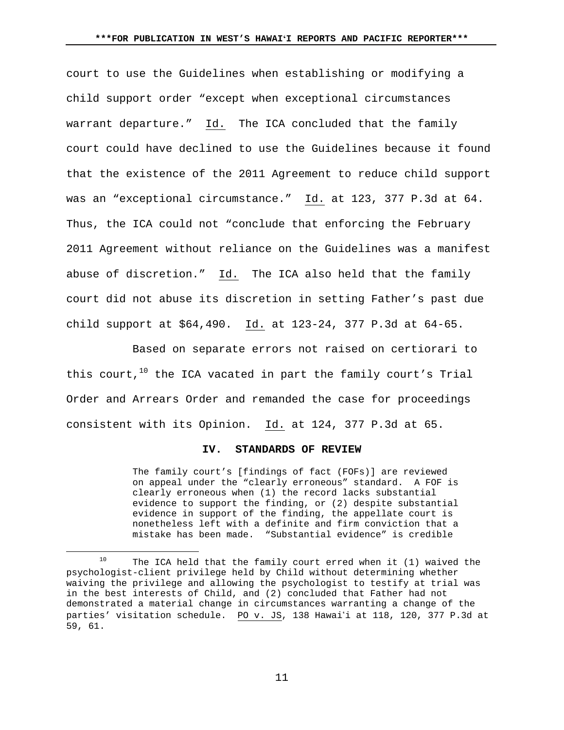court to use the Guidelines when establishing or modifying a child support order "except when exceptional circumstances warrant departure." Id. The ICA concluded that the family court could have declined to use the Guidelines because it found that the existence of the 2011 Agreement to reduce child support was an "exceptional circumstance." Id. at 123, 377 P.3d at 64. Thus, the ICA could not "conclude that enforcing the February 2011 Agreement without reliance on the Guidelines was a manifest abuse of discretion." Id. The ICA also held that the family court did not abuse its discretion in setting Father's past due child support at \$64,490. Id. at 123-24, 377 P.3d at 64-65.

 Based on separate errors not raised on certiorari to this court, $10$  the ICA vacated in part the family court's Trial Order and Arrears Order and remanded the case for proceedings consistent with its Opinion. Id. at 124, 377 P.3d at 65.

#### **IV. STANDARDS OF REVIEW**

The family court's [findings of fact (FOFs)] are reviewed on appeal under the "clearly erroneous" standard. A FOF is clearly erroneous when (1) the record lacks substantial evidence to support the finding, or (2) despite substantial evidence in support of the finding, the appellate court is nonetheless left with a definite and firm conviction that a mistake has been made. "Substantial evidence" is credible

 $10$  The ICA held that the family court erred when it (1) waived the psychologist-client privilege held by Child without determining whether waiving the privilege and allowing the psychologist to testify at trial was in the best interests of Child, and (2) concluded that Father had not demonstrated a material change in circumstances warranting a change of the parties' visitation schedule. PO v. JS, 138 Hawai'i at 118, 120, 377 P.3d at 59, 61.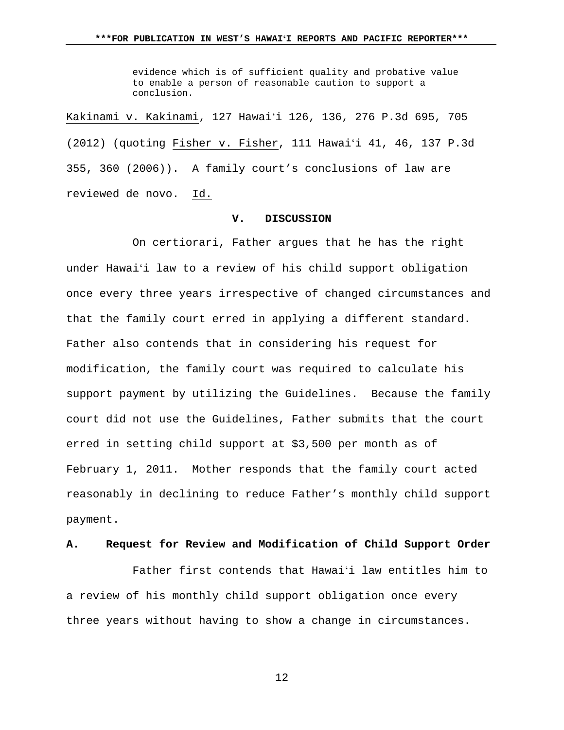evidence which is of sufficient quality and probative value to enable a person of reasonable caution to support a conclusion.

Kakinami v. Kakinami, 127 Hawaiʻi 126, 136, 276 P.3d 695, 705 (2012) (quoting Fisher v. Fisher, 111 Hawaiʻi 41, 46, 137 P.3d 355, 360 (2006)). A family court's conclusions of law are reviewed de novo. Id.

## **V. DISCUSSION**

 On certiorari, Father argues that he has the right under Hawaiʻi law to a review of his child support obligation once every three years irrespective of changed circumstances and that the family court erred in applying a different standard. Father also contends that in considering his request for modification, the family court was required to calculate his support payment by utilizing the Guidelines. Because the family court did not use the Guidelines, Father submits that the court erred in setting child support at \$3,500 per month as of February 1, 2011. Mother responds that the family court acted reasonably in declining to reduce Father's monthly child support payment.

## **A. Request for Review and Modification of Child Support Order**

 Father first contends that Hawaiʻi law entitles him to a review of his monthly child support obligation once every three years without having to show a change in circumstances.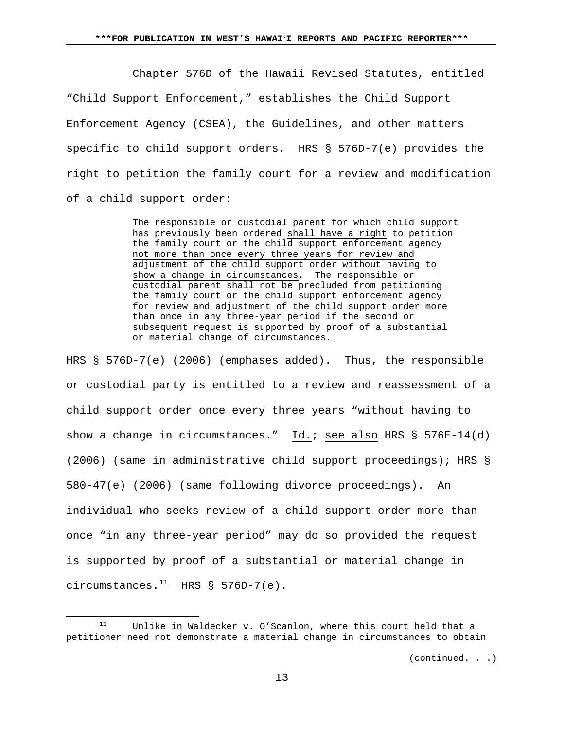Chapter 576D of the Hawaii Revised Statutes, entitled "Child Support Enforcement," establishes the Child Support Enforcement Agency (CSEA), the Guidelines, and other matters specific to child support orders. HRS § 576D-7(e) provides the right to petition the family court for a review and modification of a child support order:

> The responsible or custodial parent for which child support has previously been ordered shall have a right to petition the family court or the child support enforcement agency not more than once every three years for review and adjustment of the child support order without having to show a change in circumstances. The responsible or custodial parent shall not be precluded from petitioning the family court or the child support enforcement agency for review and adjustment of the child support order more than once in any three-year period if the second or subsequent request is supported by proof of a substantial or material change of circumstances.

HRS § 576D-7(e) (2006) (emphases added). Thus, the responsible or custodial party is entitled to a review and reassessment of a child support order once every three years "without having to show a change in circumstances." Id.: see also HRS § 576E-14(d) (2006) (same in administrative child support proceedings); HRS § 580-47(e) (2006) (same following divorce proceedings). An individual who seeks review of a child support order more than once "in any three-year period" may do so provided the request is supported by proof of a substantial or material change in circumstances. $^{11}$  HRS § 576D-7(e).

 $11$  Unlike in Waldecker v. O'Scanlon, where this court held that a petitioner need not demonstrate a material change in circumstances to obtain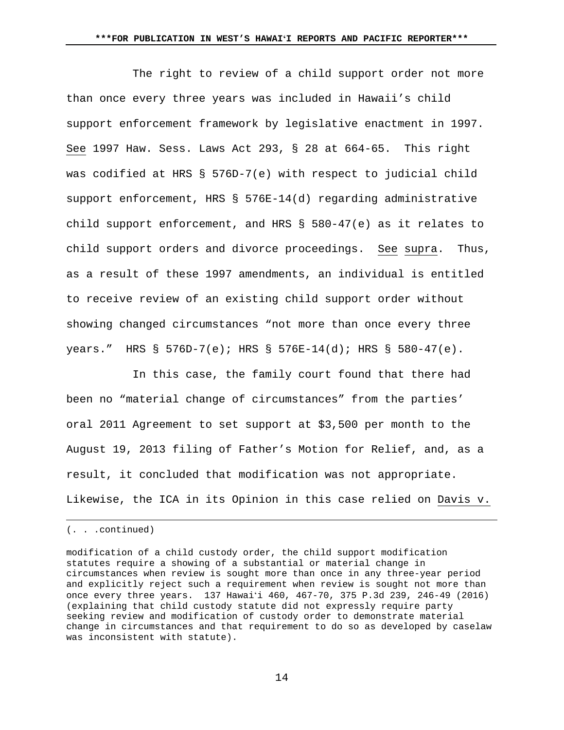The right to review of a child support order not more than once every three years was included in Hawaii's child support enforcement framework by legislative enactment in 1997. See 1997 Haw. Sess. Laws Act 293, § 28 at 664-65. This right was codified at HRS § 576D-7(e) with respect to judicial child support enforcement, HRS § 576E-14(d) regarding administrative child support enforcement, and HRS § 580-47(e) as it relates to child support orders and divorce proceedings. See supra. Thus, as a result of these 1997 amendments, an individual is entitled to receive review of an existing child support order without showing changed circumstances "not more than once every three years." HRS § 576D-7(e); HRS § 576E-14(d); HRS § 580-47(e).

 In this case, the family court found that there had been no "material change of circumstances" from the parties' oral 2011 Agreement to set support at \$3,500 per month to the August 19, 2013 filing of Father's Motion for Relief, and, as a result, it concluded that modification was not appropriate. Likewise, the ICA in its Opinion in this case relied on Davis v.

i

<sup>(. . .</sup>continued)

modification of a child custody order, the child support modification statutes require a showing of a substantial or material change in circumstances when review is sought more than once in any three-year period and explicitly reject such a requirement when review is sought not more than once every three years. 137 Hawaiʻi 460, 467-70, 375 P.3d 239, 246-49 (2016) (explaining that child custody statute did not expressly require party seeking review and modification of custody order to demonstrate material change in circumstances and that requirement to do so as developed by caselaw was inconsistent with statute).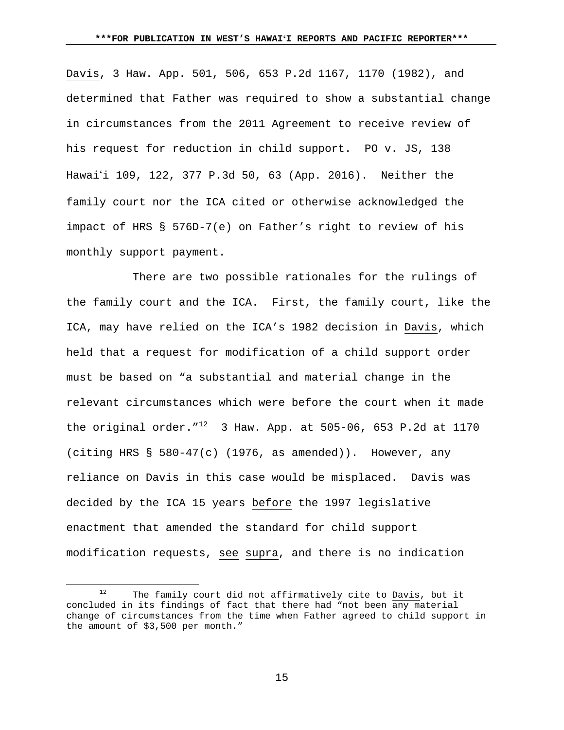Davis, 3 Haw. App. 501, 506, 653 P.2d 1167, 1170 (1982), and determined that Father was required to show a substantial change in circumstances from the 2011 Agreement to receive review of his request for reduction in child support. PO v. JS, 138 Hawai'i 109, 122, 377 P.3d 50, 63 (App. 2016). Neither the family court nor the ICA cited or otherwise acknowledged the impact of HRS § 576D-7(e) on Father's right to review of his monthly support payment.

 There are two possible rationales for the rulings of the family court and the ICA. First, the family court, like the ICA, may have relied on the ICA's 1982 decision in Davis, which held that a request for modification of a child support order must be based on "a substantial and material change in the relevant circumstances which were before the court when it made the original order. $1^{12}$  3 Haw. App. at 505-06, 653 P.2d at 1170 (citing HRS  $\S$  580-47(c) (1976, as amended)). However, any reliance on Davis in this case would be misplaced. Davis was decided by the ICA 15 years before the 1997 legislative enactment that amended the standard for child support modification requests, see supra, and there is no indication

<sup>12</sup> The family court did not affirmatively cite to Davis, but it concluded in its findings of fact that there had "not been any material change of circumstances from the time when Father agreed to child support in the amount of \$3,500 per month."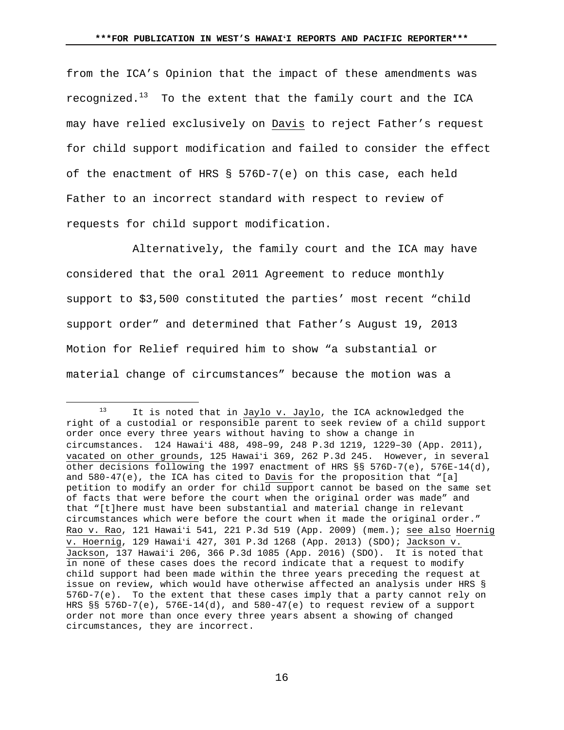from the ICA's Opinion that the impact of these amendments was recognized.<sup>13</sup> To the extent that the family court and the ICA may have relied exclusively on Davis to reject Father's request for child support modification and failed to consider the effect of the enactment of HRS § 576D-7(e) on this case, each held Father to an incorrect standard with respect to review of requests for child support modification.

 Alternatively, the family court and the ICA may have considered that the oral 2011 Agreement to reduce monthly support to \$3,500 constituted the parties' most recent "child support order" and determined that Father's August 19, 2013 Motion for Relief required him to show "a substantial or material change of circumstances" because the motion was a

<sup>13</sup> It is noted that in Jaylo v. Jaylo, the ICA acknowledged the right of a custodial or responsible parent to seek review of a child support order once every three years without having to show a change in circumstances. 124 Hawaiʻi 488, 498–99, 248 P.3d 1219, 1229–30 (App. 2011), vacated on other grounds, 125 Hawaiʻi 369, 262 P.3d 245. However, in several other decisions following the 1997 enactment of HRS §§ 576D-7(e), 576E-14(d), and  $580-47(e)$ , the ICA has cited to Davis for the proposition that "[a] petition to modify an order for child support cannot be based on the same set of facts that were before the court when the original order was made" and that "[t]here must have been substantial and material change in relevant circumstances which were before the court when it made the original order." Rao v. Rao, 121 Hawaiʻi 541, 221 P.3d 519 (App. 2009) (mem.); see also Hoernig v. Hoernig, 129 Hawaiʻi 427, 301 P.3d 1268 (App. 2013) (SDO); Jackson v. Jackson, 137 Hawaiʻi 206, 366 P.3d 1085 (App. 2016) (SDO). It is noted that in none of these cases does the record indicate that a request to modify child support had been made within the three years preceding the request at issue on review, which would have otherwise affected an analysis under HRS § 576D-7(e). To the extent that these cases imply that a party cannot rely on HRS  $\S$ § 576D-7(e), 576E-14(d), and 580-47(e) to request review of a support order not more than once every three years absent a showing of changed circumstances, they are incorrect.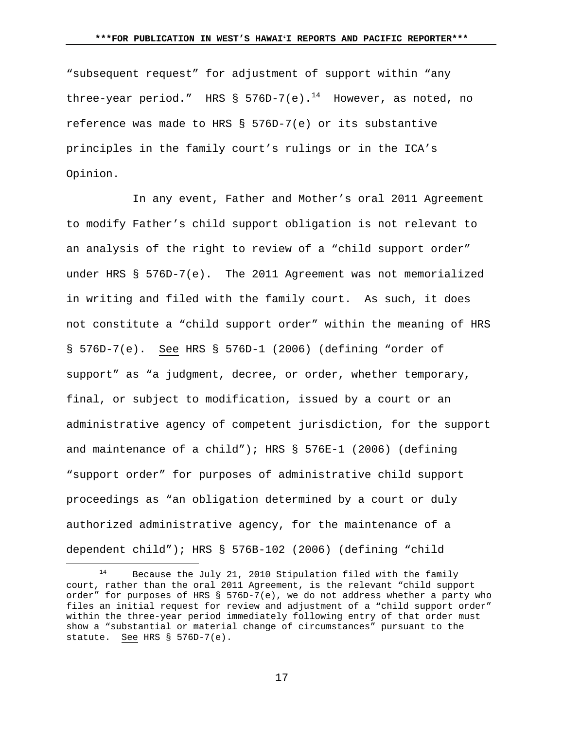"subsequent request" for adjustment of support within "any three-year period." HRS § 576D-7(e).<sup>14</sup> However, as noted, no reference was made to HRS § 576D-7(e) or its substantive principles in the family court's rulings or in the ICA's Opinion.

 In any event, Father and Mother's oral 2011 Agreement to modify Father's child support obligation is not relevant to an analysis of the right to review of a "child support order" under HRS § 576D-7(e). The 2011 Agreement was not memorialized in writing and filed with the family court. As such, it does not constitute a "child support order" within the meaning of HRS § 576D-7(e). See HRS § 576D-1 (2006) (defining "order of support" as "a judgment, decree, or order, whether temporary, final, or subject to modification, issued by a court or an administrative agency of competent jurisdiction, for the support and maintenance of a child"); HRS § 576E-1 (2006) (defining "support order" for purposes of administrative child support proceedings as "an obligation determined by a court or duly authorized administrative agency, for the maintenance of a dependent child"); HRS § 576B-102 (2006) (defining "child

 <sup>14</sup> Because the July 21, 2010 Stipulation filed with the family court, rather than the oral 2011 Agreement, is the relevant "child support order" for purposes of HRS § 576D-7(e), we do not address whether a party who files an initial request for review and adjustment of a "child support order" within the three-year period immediately following entry of that order must show a "substantial or material change of circumstances" pursuant to the statute. See HRS § 576D-7(e).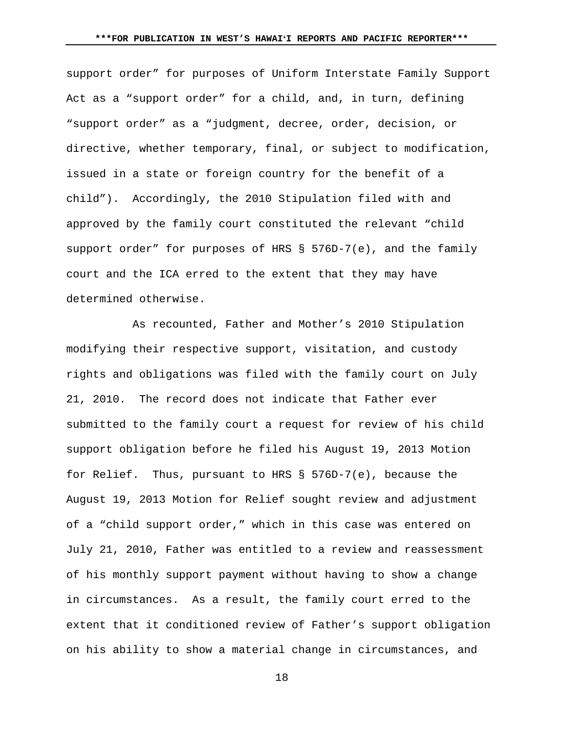support order" for purposes of Uniform Interstate Family Support Act as a "support order" for a child, and, in turn, defining "support order" as a "judgment, decree, order, decision, or directive, whether temporary, final, or subject to modification, issued in a state or foreign country for the benefit of a child"). Accordingly, the 2010 Stipulation filed with and approved by the family court constituted the relevant "child support order" for purposes of HRS § 576D-7(e), and the family court and the ICA erred to the extent that they may have determined otherwise.

 As recounted, Father and Mother's 2010 Stipulation modifying their respective support, visitation, and custody rights and obligations was filed with the family court on July 21, 2010. The record does not indicate that Father ever submitted to the family court a request for review of his child support obligation before he filed his August 19, 2013 Motion for Relief. Thus, pursuant to HRS § 576D-7(e), because the August 19, 2013 Motion for Relief sought review and adjustment of a "child support order," which in this case was entered on July 21, 2010, Father was entitled to a review and reassessment of his monthly support payment without having to show a change in circumstances. As a result, the family court erred to the extent that it conditioned review of Father's support obligation on his ability to show a material change in circumstances, and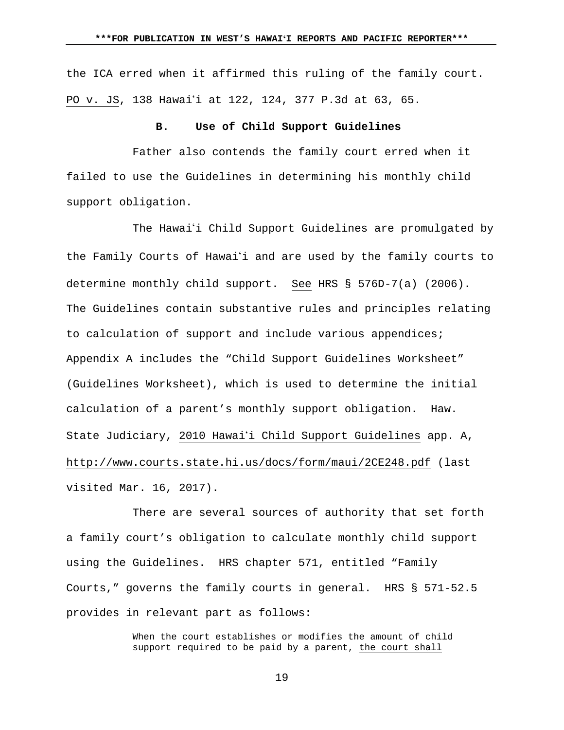the ICA erred when it affirmed this ruling of the family court. PO v. JS, 138 Hawai'i at 122, 124, 377 P.3d at 63, 65.

# **B. Use of Child Support Guidelines**

 Father also contends the family court erred when it failed to use the Guidelines in determining his monthly child support obligation.

The Hawai'i Child Support Guidelines are promulgated by the Family Courts of Hawai'i and are used by the family courts to determine monthly child support. See HRS § 576D-7(a) (2006). The Guidelines contain substantive rules and principles relating to calculation of support and include various appendices; Appendix A includes the "Child Support Guidelines Worksheet" (Guidelines Worksheet), which is used to determine the initial calculation of a parent's monthly support obligation. Haw. State Judiciary, 2010 Hawai'i Child Support Guidelines app. A, http://www.courts.state.hi.us/docs/form/maui/2CE248.pdf (last visited Mar. 16, 2017).

 There are several sources of authority that set forth a family court's obligation to calculate monthly child support using the Guidelines. HRS chapter 571, entitled "Family Courts," governs the family courts in general. HRS § 571-52.5 provides in relevant part as follows:

> When the court establishes or modifies the amount of child support required to be paid by a parent, the court shall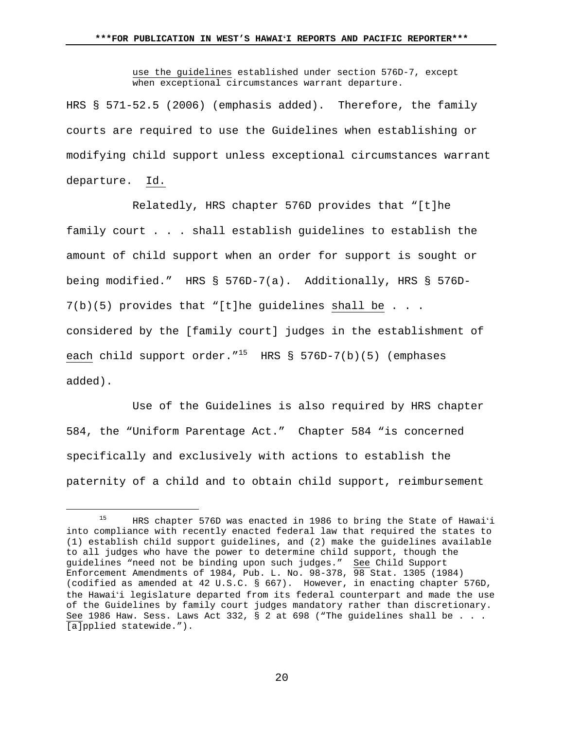use the guidelines established under section 576D-7, except when exceptional circumstances warrant departure.

HRS § 571-52.5 (2006) (emphasis added). Therefore, the family courts are required to use the Guidelines when establishing or modifying child support unless exceptional circumstances warrant departure. Id.

 Relatedly, HRS chapter 576D provides that "[t]he family court . . . shall establish guidelines to establish the amount of child support when an order for support is sought or being modified." HRS § 576D-7(a). Additionally, HRS § 576D-7(b)(5) provides that "[t]he guidelines shall be . . . considered by the [family court] judges in the establishment of each child support order."<sup>15</sup> HRS § 576D-7(b)(5) (emphases added).

 Use of the Guidelines is also required by HRS chapter 584, the "Uniform Parentage Act." Chapter 584 "is concerned specifically and exclusively with actions to establish the paternity of a child and to obtain child support, reimbursement

 <sup>15</sup> HRS chapter 576D was enacted in 1986 to bring the State of Hawai<sup>ʻ</sup><sup>i</sup> into compliance with recently enacted federal law that required the states to (1) establish child support guidelines, and (2) make the guidelines available to all judges who have the power to determine child support, though the guidelines "need not be binding upon such judges." See Child Support Enforcement Amendments of 1984, Pub. L. No. 98-378, 98 Stat. 1305 (1984) (codified as amended at 42 U.S.C. § 667). However, in enacting chapter 576D, the Hawaiʻi legislature departed from its federal counterpart and made the use of the Guidelines by family court judges mandatory rather than discretionary. See 1986 Haw. Sess. Laws Act 332, § 2 at 698 ("The guidelines shall be  $\ldots$ . [a]pplied statewide.").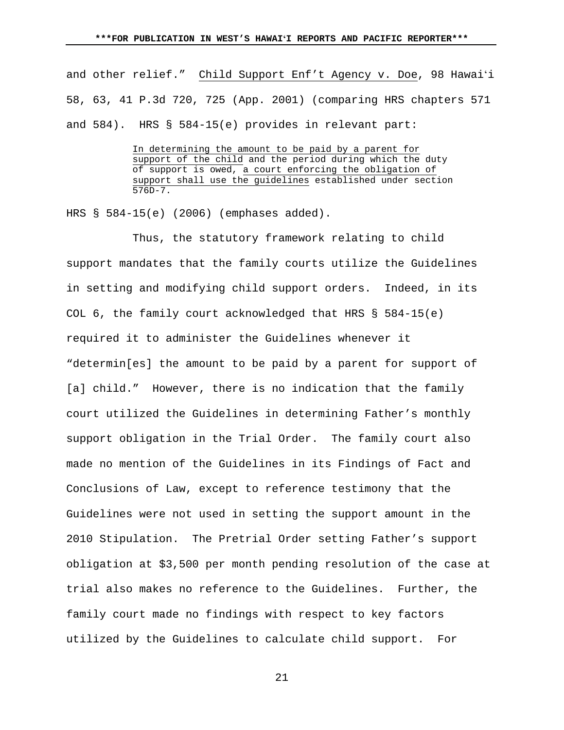and other relief." Child Support Enf't Agency v. Doe, 98 Hawaiʻi 58, 63, 41 P.3d 720, 725 (App. 2001) (comparing HRS chapters 571 and 584). HRS § 584-15(e) provides in relevant part:

> In determining the amount to be paid by a parent for support of the child and the period during which the duty of support is owed, a court enforcing the obligation of support shall use the guidelines established under section 576D-7.

HRS § 584-15(e) (2006) (emphases added).

 Thus, the statutory framework relating to child support mandates that the family courts utilize the Guidelines in setting and modifying child support orders. Indeed, in its COL 6, the family court acknowledged that HRS § 584-15(e) required it to administer the Guidelines whenever it "determin[es] the amount to be paid by a parent for support of [a] child." However, there is no indication that the family court utilized the Guidelines in determining Father's monthly support obligation in the Trial Order. The family court also made no mention of the Guidelines in its Findings of Fact and Conclusions of Law, except to reference testimony that the Guidelines were not used in setting the support amount in the 2010 Stipulation. The Pretrial Order setting Father's support obligation at \$3,500 per month pending resolution of the case at trial also makes no reference to the Guidelines. Further, the family court made no findings with respect to key factors utilized by the Guidelines to calculate child support. For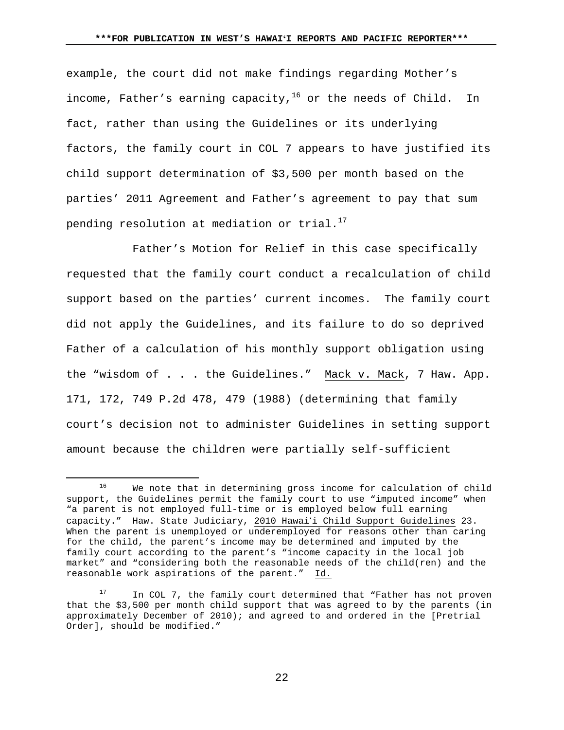example, the court did not make findings regarding Mother's income, Father's earning capacity,  $16$  or the needs of Child. In fact, rather than using the Guidelines or its underlying factors, the family court in COL 7 appears to have justified its child support determination of \$3,500 per month based on the parties' 2011 Agreement and Father's agreement to pay that sum pending resolution at mediation or trial.<sup>17</sup>

 Father's Motion for Relief in this case specifically requested that the family court conduct a recalculation of child support based on the parties' current incomes. The family court did not apply the Guidelines, and its failure to do so deprived Father of a calculation of his monthly support obligation using the "wisdom of . . . the Guidelines." Mack v. Mack, 7 Haw. App. 171, 172, 749 P.2d 478, 479 (1988) (determining that family court's decision not to administer Guidelines in setting support amount because the children were partially self-sufficient

<sup>&</sup>lt;sup>16</sup> We note that in determining gross income for calculation of child support, the Guidelines permit the family court to use "imputed income" when "a parent is not employed full-time or is employed below full earning capacity." Haw. State Judiciary, 2010 Hawai'i Child Support Guidelines 23. When the parent is unemployed or underemployed for reasons other than caring for the child, the parent's income may be determined and imputed by the family court according to the parent's "income capacity in the local job market" and "considering both the reasonable needs of the child(ren) and the reasonable work aspirations of the parent." Id.

<sup>&</sup>lt;sup>17</sup> In COL 7, the family court determined that "Father has not proven that the \$3,500 per month child support that was agreed to by the parents (in approximately December of 2010); and agreed to and ordered in the [Pretrial Order], should be modified."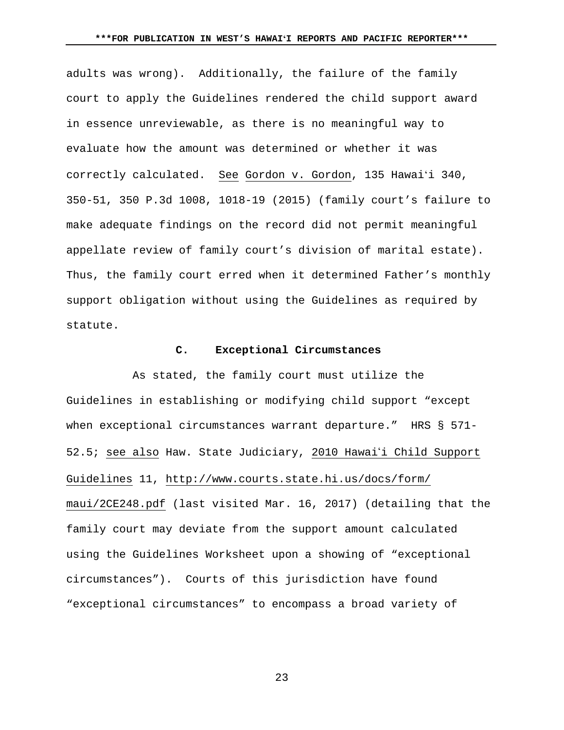adults was wrong). Additionally, the failure of the family court to apply the Guidelines rendered the child support award in essence unreviewable, as there is no meaningful way to evaluate how the amount was determined or whether it was correctly calculated. See Gordon v. Gordon, 135 Hawaiʻi 340, 350-51, 350 P.3d 1008, 1018-19 (2015) (family court's failure to make adequate findings on the record did not permit meaningful appellate review of family court's division of marital estate). Thus, the family court erred when it determined Father's monthly support obligation without using the Guidelines as required by statute.

## **C. Exceptional Circumstances**

 As stated, the family court must utilize the Guidelines in establishing or modifying child support "except when exceptional circumstances warrant departure." HRS § 571-52.5; see also Haw. State Judiciary, 2010 Hawai'i Child Support Guidelines 11, http://www.courts.state.hi.us/docs/form/ maui/2CE248.pdf (last visited Mar. 16, 2017) (detailing that the family court may deviate from the support amount calculated using the Guidelines Worksheet upon a showing of "exceptional circumstances"). Courts of this jurisdiction have found "exceptional circumstances" to encompass a broad variety of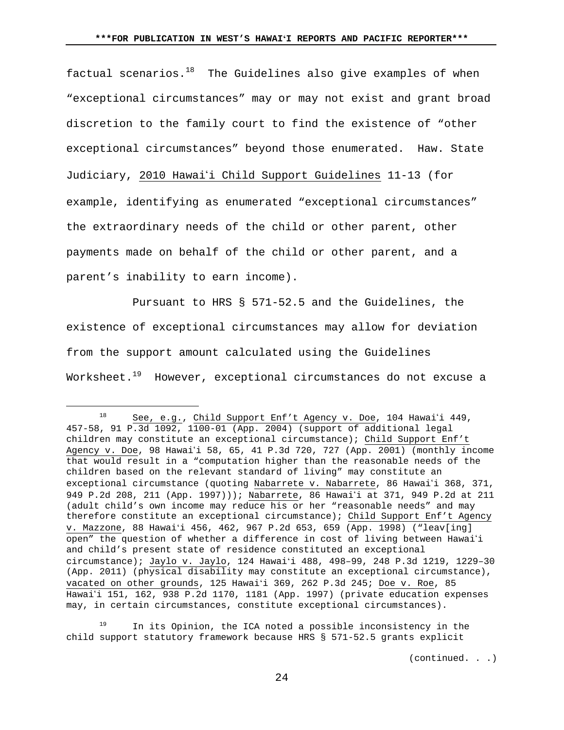factual scenarios. $18$  The Guidelines also give examples of when "exceptional circumstances" may or may not exist and grant broad discretion to the family court to find the existence of "other exceptional circumstances" beyond those enumerated. Haw. State Judiciary, 2010 Hawai'i Child Support Guidelines 11-13 (for example, identifying as enumerated "exceptional circumstances" the extraordinary needs of the child or other parent, other payments made on behalf of the child or other parent, and a parent's inability to earn income).

 Pursuant to HRS § 571-52.5 and the Guidelines, the existence of exceptional circumstances may allow for deviation from the support amount calculated using the Guidelines Worksheet.<sup>19</sup> However, exceptional circumstances do not excuse a

 $19$  In its Opinion, the ICA noted a possible inconsistency in the child support statutory framework because HRS § 571-52.5 grants explicit

(continued. . .)

 $18$  See, e.g., Child Support Enf't Agency v. Doe, 104 Hawai'i 449, 457-58, 91 P.3d 1092, 1100-01 (App. 2004) (support of additional legal children may constitute an exceptional circumstance); Child Support Enf't Agency v. Doe, 98 Hawai'i 58, 65, 41 P.3d 720, 727 (App. 2001) (monthly income that would result in a "computation higher than the reasonable needs of the children based on the relevant standard of living" may constitute an exceptional circumstance (quoting Nabarrete v. Nabarrete, 86 Hawai'i 368, 371, 949 P.2d 208, 211 (App. 1997))); Nabarrete, 86 Hawai'i at 371, 949 P.2d at 211 (adult child's own income may reduce his or her "reasonable needs" and may therefore constitute an exceptional circumstance); Child Support Enf't Agency v. Mazzone, 88 Hawaiʻi 456, 462, 967 P.2d 653, 659 (App. 1998) ("leav[ing] open" the question of whether a difference in cost of living between Hawai'i and child's present state of residence constituted an exceptional circumstance); Jaylo v. Jaylo, 124 Hawaiʻi 488, 498–99, 248 P.3d 1219, 1229–30 (App. 2011) (physical disability may constitute an exceptional circumstance), vacated on other grounds, 125 Hawaiʻi 369, 262 P.3d 245; Doe v. Roe, 85 Hawai'i 151, 162, 938 P.2d 1170, 1181 (App. 1997) (private education expenses may, in certain circumstances, constitute exceptional circumstances).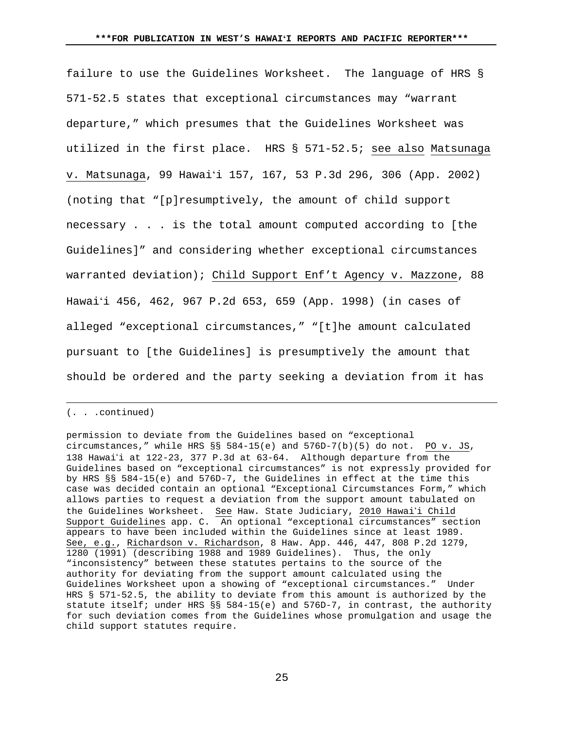failure to use the Guidelines Worksheet. The language of HRS § 571-52.5 states that exceptional circumstances may "warrant departure," which presumes that the Guidelines Worksheet was utilized in the first place. HRS § 571-52.5; see also Matsunaga v. Matsunaga, 99 Hawaiʻi 157, 167, 53 P.3d 296, 306 (App. 2002) (noting that "[p]resumptively, the amount of child support necessary . . . is the total amount computed according to [the Guidelines]" and considering whether exceptional circumstances warranted deviation); Child Support Enf't Agency v. Mazzone, 88 Hawaiʻi 456, 462, 967 P.2d 653, 659 (App. 1998) (in cases of alleged "exceptional circumstances," "[t]he amount calculated pursuant to [the Guidelines] is presumptively the amount that should be ordered and the party seeking a deviation from it has

(. . .continued)

i

permission to deviate from the Guidelines based on "exceptional circumstances," while HRS §§ 584-15(e) and 576D-7(b)(5) do not. PO v. JS, 138 Hawai'i at 122-23, 377 P.3d at 63-64. Although departure from the Guidelines based on "exceptional circumstances" is not expressly provided for by HRS §§ 584-15(e) and 576D-7, the Guidelines in effect at the time this case was decided contain an optional "Exceptional Circumstances Form," which allows parties to request a deviation from the support amount tabulated on the Guidelines Worksheet. See Haw. State Judiciary, 2010 Hawai'i Child Support Guidelines app. C. An optional "exceptional circumstances" section appears to have been included within the Guidelines since at least 1989. See, e.g., Richardson v. Richardson, 8 Haw. App. 446, 447, 808 P.2d 1279, 1280 (1991) (describing 1988 and 1989 Guidelines). Thus, the only "inconsistency" between these statutes pertains to the source of the authority for deviating from the support amount calculated using the Guidelines Worksheet upon a showing of "exceptional circumstances." Under HRS § 571-52.5, the ability to deviate from this amount is authorized by the statute itself; under HRS §§ 584-15(e) and 576D-7, in contrast, the authority for such deviation comes from the Guidelines whose promulgation and usage the child support statutes require.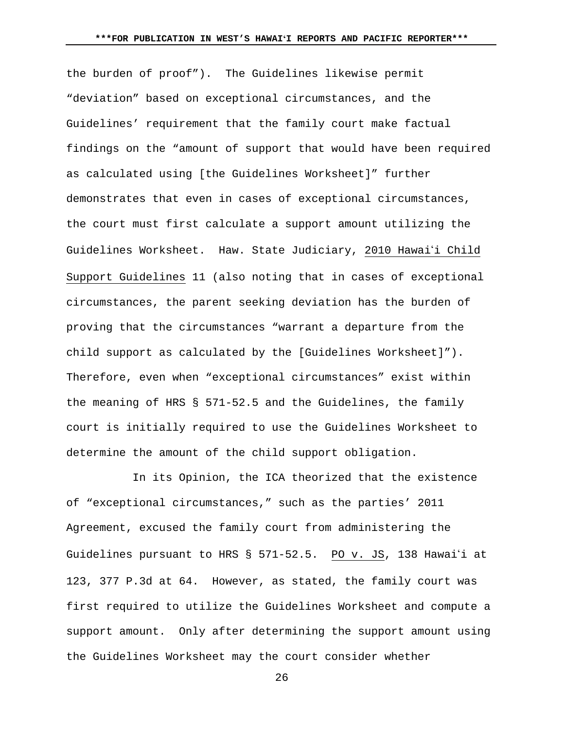the burden of proof"). The Guidelines likewise permit "deviation" based on exceptional circumstances, and the Guidelines' requirement that the family court make factual findings on the "amount of support that would have been required as calculated using [the Guidelines Worksheet]" further demonstrates that even in cases of exceptional circumstances, the court must first calculate a support amount utilizing the Guidelines Worksheet. Haw. State Judiciary, 2010 Hawai'i Child Support Guidelines 11 (also noting that in cases of exceptional circumstances, the parent seeking deviation has the burden of proving that the circumstances "warrant a departure from the child support as calculated by the [Guidelines Worksheet]"). Therefore, even when "exceptional circumstances" exist within the meaning of HRS § 571-52.5 and the Guidelines, the family court is initially required to use the Guidelines Worksheet to determine the amount of the child support obligation.

 In its Opinion, the ICA theorized that the existence of "exceptional circumstances," such as the parties' 2011 Agreement, excused the family court from administering the Guidelines pursuant to HRS  $\S$  571-52.5. PO v. JS, 138 Hawai'i at 123, 377 P.3d at 64. However, as stated, the family court was first required to utilize the Guidelines Worksheet and compute a support amount. Only after determining the support amount using the Guidelines Worksheet may the court consider whether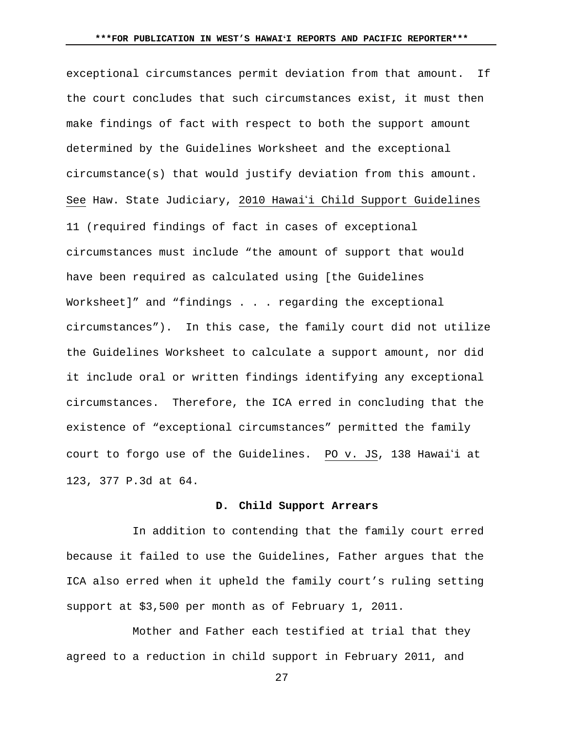exceptional circumstances permit deviation from that amount. If the court concludes that such circumstances exist, it must then make findings of fact with respect to both the support amount determined by the Guidelines Worksheet and the exceptional circumstance(s) that would justify deviation from this amount. See Haw. State Judiciary, 2010 Hawai'i Child Support Guidelines 11 (required findings of fact in cases of exceptional circumstances must include "the amount of support that would have been required as calculated using [the Guidelines Worksheet]" and "findings . . . regarding the exceptional circumstances"). In this case, the family court did not utilize the Guidelines Worksheet to calculate a support amount, nor did it include oral or written findings identifying any exceptional circumstances. Therefore, the ICA erred in concluding that the existence of "exceptional circumstances" permitted the family court to forgo use of the Guidelines. PO v. JS, 138 Hawai'i at 123, 377 P.3d at 64.

### **D. Child Support Arrears**

 In addition to contending that the family court erred because it failed to use the Guidelines, Father argues that the ICA also erred when it upheld the family court's ruling setting support at \$3,500 per month as of February 1, 2011.

 Mother and Father each testified at trial that they agreed to a reduction in child support in February 2011, and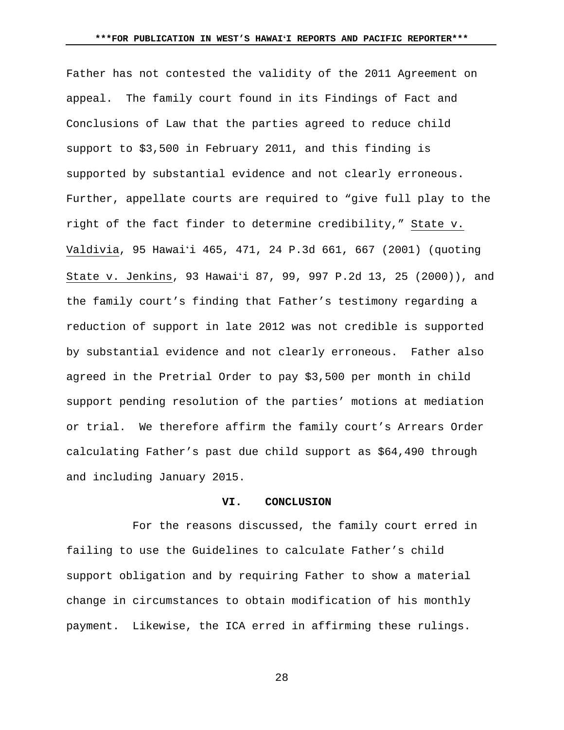Father has not contested the validity of the 2011 Agreement on appeal. The family court found in its Findings of Fact and Conclusions of Law that the parties agreed to reduce child support to \$3,500 in February 2011, and this finding is supported by substantial evidence and not clearly erroneous. Further, appellate courts are required to "give full play to the right of the fact finder to determine credibility," State v. Valdivia, 95 Hawaiʻi 465, 471, 24 P.3d 661, 667 (2001) (quoting State v. Jenkins, 93 Hawaiʻi 87, 99, 997 P.2d 13, 25 (2000)), and the family court's finding that Father's testimony regarding a reduction of support in late 2012 was not credible is supported by substantial evidence and not clearly erroneous. Father also agreed in the Pretrial Order to pay \$3,500 per month in child support pending resolution of the parties' motions at mediation or trial. We therefore affirm the family court's Arrears Order calculating Father's past due child support as \$64,490 through and including January 2015.

# **VI. CONCLUSION**

 For the reasons discussed, the family court erred in failing to use the Guidelines to calculate Father's child support obligation and by requiring Father to show a material change in circumstances to obtain modification of his monthly payment. Likewise, the ICA erred in affirming these rulings.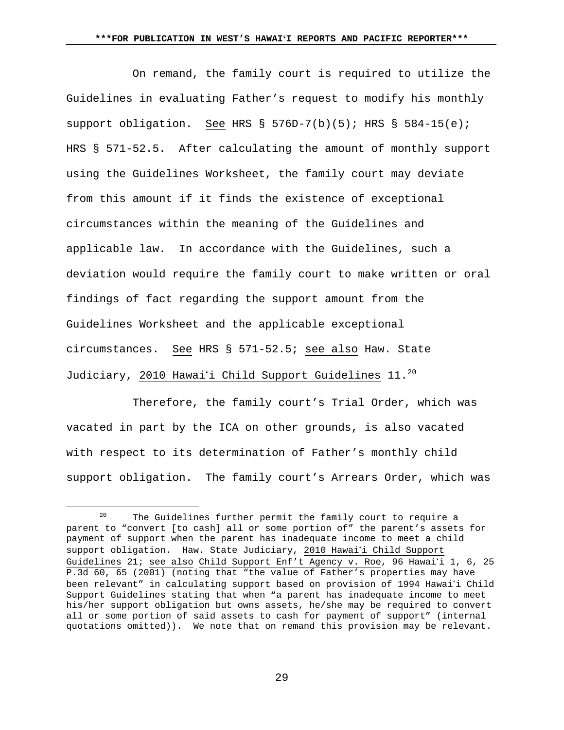On remand, the family court is required to utilize the Guidelines in evaluating Father's request to modify his monthly support obligation. See HRS § 576D-7(b)(5); HRS § 584-15(e); HRS § 571-52.5. After calculating the amount of monthly support using the Guidelines Worksheet, the family court may deviate from this amount if it finds the existence of exceptional circumstances within the meaning of the Guidelines and applicable law. In accordance with the Guidelines, such a deviation would require the family court to make written or oral findings of fact regarding the support amount from the Guidelines Worksheet and the applicable exceptional circumstances. See HRS § 571-52.5; see also Haw. State Judiciary, 2010 Hawai'i Child Support Guidelines 11.<sup>20</sup>

 Therefore, the family court's Trial Order, which was vacated in part by the ICA on other grounds, is also vacated with respect to its determination of Father's monthly child support obligation. The family court's Arrears Order, which was

<sup>&</sup>lt;sup>20</sup> The Guidelines further permit the family court to require a parent to "convert [to cash] all or some portion of" the parent's assets for payment of support when the parent has inadequate income to meet a child support obligation. Haw. State Judiciary, 2010 Hawai'i Child Support Guidelines 21; see also Child Support Enf't Agency v. Roe, 96 Hawai'i 1, 6, 25 P.3d 60, 65 (2001) (noting that "the value of Father's properties may have been relevant" in calculating support based on provision of 1994 Hawai'i Child Support Guidelines stating that when "a parent has inadequate income to meet his/her support obligation but owns assets, he/she may be required to convert all or some portion of said assets to cash for payment of support" (internal quotations omitted)). We note that on remand this provision may be relevant.